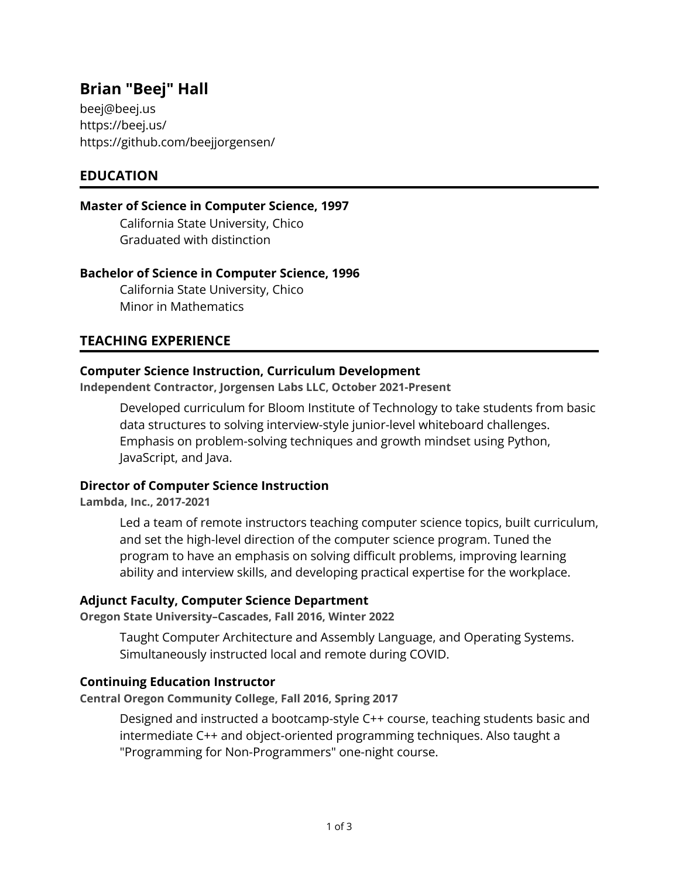# **Brian "Beej" Hall**

[beej@beej.us](mailto:beej@beej.us) <https://beej.us/> <https://github.com/beejjorgensen/>

## **EDUCATION**

#### **Master of Science in Computer Science, 1997**

California State University, Chico Graduated with distinction

## **Bachelor of Science in Computer Science, 1996**

California State University, Chico Minor in Mathematics

## **TEACHING EXPERIENCE**

## **Computer Science Instruction, Curriculum Development**

**Independent Contractor, Jorgensen Labs LLC, October 2021-Present**

Developed curriculum for Bloom Institute of Technology to take students from basic data structures to solving interview-style junior-level whiteboard challenges. Emphasis on problem-solving techniques and growth mindset using Python, JavaScript, and Java.

## **Director of Computer Science Instruction**

**Lambda, Inc., 2017-2021**

Led a team of remote instructors teaching computer science topics, built curriculum, and set the high-level direction of the computer science program. Tuned the program to have an emphasis on solving difficult problems, improving learning ability and interview skills, and developing practical expertise for the workplace.

## **Adjunct Faculty, Computer Science Department**

**Oregon State University–Cascades, Fall 2016, Winter 2022**

Taught Computer Architecture and Assembly Language, and Operating Systems. Simultaneously instructed local and remote during COVID.

## **Continuing Education Instructor**

**Central Oregon Community College, Fall 2016, Spring 2017**

Designed and instructed a bootcamp-style C++ course, teaching students basic and intermediate C++ and object-oriented programming techniques. Also taught a "Programming for Non-Programmers" one-night course.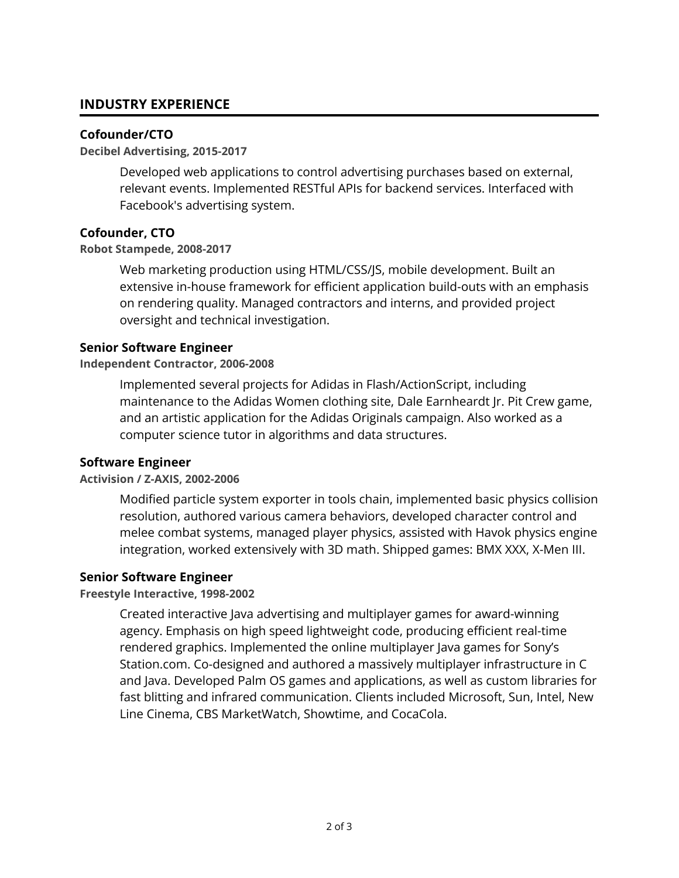## **INDUSTRY EXPERIENCE**

## **Cofounder/CTO**

#### **Decibel Advertising, 2015-2017**

Developed web applications to control advertising purchases based on external, relevant events. Implemented RESTful APIs for backend services. Interfaced with Facebook's advertising system.

## **Cofounder, CTO**

## **Robot Stampede, 2008-2017**

Web marketing production using HTML/CSS/JS, mobile development. Built an extensive in-house framework for efficient application build-outs with an emphasis on rendering quality. Managed contractors and interns, and provided project oversight and technical investigation.

## **Senior Software Engineer**

## **Independent Contractor, 2006-2008**

Implemented several projects for Adidas in Flash/ActionScript, including maintenance to the Adidas Women clothing site, Dale Earnheardt Jr. Pit Crew game, and an artistic application for the Adidas Originals campaign. Also worked as a computer science tutor in algorithms and data structures.

#### **Software Engineer**

#### **Activision / Z-AXIS, 2002-2006**

Modified particle system exporter in tools chain, implemented basic physics collision resolution, authored various camera behaviors, developed character control and melee combat systems, managed player physics, assisted with Havok physics engine integration, worked extensively with 3D math. Shipped games: BMX XXX, X-Men III.

#### **Senior Software Engineer**

#### **Freestyle Interactive, 1998-2002**

Created interactive Java advertising and multiplayer games for award-winning agency. Emphasis on high speed lightweight code, producing efficient real-time rendered graphics. Implemented the online multiplayer Java games for Sony's Station.com. Co-designed and authored a massively multiplayer infrastructure in C and Java. Developed Palm OS games and applications, as well as custom libraries for fast blitting and infrared communication. Clients included Microsoft, Sun, Intel, New Line Cinema, CBS MarketWatch, Showtime, and CocaCola.